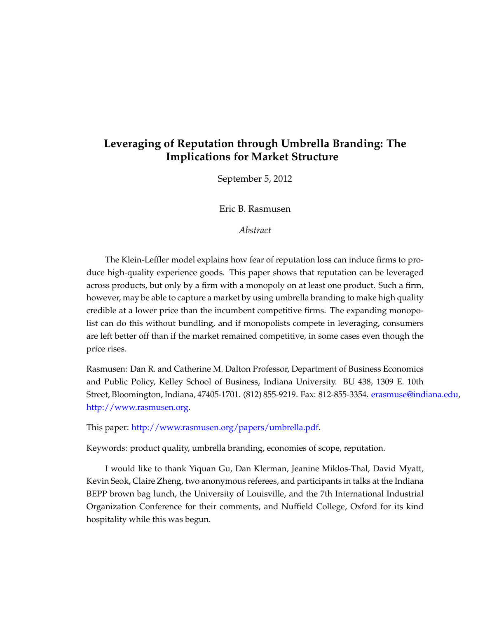# **Leveraging of Reputation through Umbrella Branding: The Implications for Market Structure**

September 5, 2012

Eric B. Rasmusen

*Abstract*

The Klein-Leffler model explains how fear of reputation loss can induce firms to produce high-quality experience goods. This paper shows that reputation can be leveraged across products, but only by a firm with a monopoly on at least one product. Such a firm, however, may be able to capture a market by using umbrella branding to make high quality credible at a lower price than the incumbent competitive firms. The expanding monopolist can do this without bundling, and if monopolists compete in leveraging, consumers are left better off than if the market remained competitive, in some cases even though the price rises.

Rasmusen: Dan R. and Catherine M. Dalton Professor, Department of Business Economics and Public Policy, Kelley School of Business, Indiana University. BU 438, 1309 E. 10th Street, Bloomington, Indiana, 47405-1701. (812) 855-9219. Fax: 812-855-3354. [erasmuse@indiana.edu,](mailto:erasmuse@indiana.edu) [http://www.rasmusen.org.](http://www.rasmusen.org)

This paper: [http://www.rasmusen.org/papers/umbrella.pdf.](http://www.rasmusen.org/papers/umbrella.pdf)

Keywords: product quality, umbrella branding, economies of scope, reputation.

I would like to thank Yiquan Gu, Dan Klerman, Jeanine Miklos-Thal, David Myatt, Kevin Seok, Claire Zheng, two anonymous referees, and participants in talks at the Indiana BEPP brown bag lunch, the University of Louisville, and the 7th International Industrial Organization Conference for their comments, and Nuffield College, Oxford for its kind hospitality while this was begun.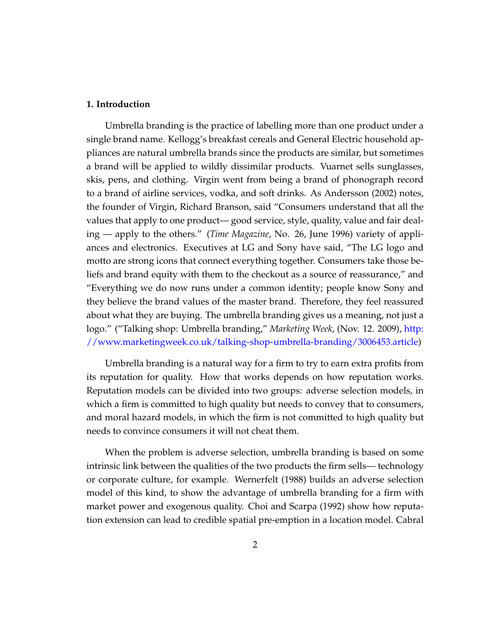## **1. Introduction**

Umbrella branding is the practice of labelling more than one product under a single brand name. Kellogg's breakfast cereals and General Electric household appliances are natural umbrella brands since the products are similar, but sometimes a brand will be applied to wildly dissimilar products. Vuarnet sells sunglasses, skis, pens, and clothing. Virgin went from being a brand of phonograph record to a brand of airline services, vodka, and soft drinks. As Andersson (2002) notes, the founder of Virgin, Richard Branson, said "Consumers understand that all the values that apply to one product— good service, style, quality, value and fair dealing — apply to the others." (*Time Magazine*, No. 26, June 1996) variety of appliances and electronics. Executives at LG and Sony have said, "The LG logo and motto are strong icons that connect everything together. Consumers take those beliefs and brand equity with them to the checkout as a source of reassurance," and "Everything we do now runs under a common identity; people know Sony and they believe the brand values of the master brand. Therefore, they feel reassured about what they are buying. The umbrella branding gives us a meaning, not just a logo." ("Talking shop: Umbrella branding," *Marketing Week*, (Nov. 12. 2009), [http:](http://www.marketingweek.co.uk/talking-shop-umbrella-branding/3006453.article) [//www.marketingweek.co.uk/talking-shop-umbrella-branding/3006453.article\)](http://www.marketingweek.co.uk/talking-shop-umbrella-branding/3006453.article)

Umbrella branding is a natural way for a firm to try to earn extra profits from its reputation for quality. How that works depends on how reputation works. Reputation models can be divided into two groups: adverse selection models, in which a firm is committed to high quality but needs to convey that to consumers, and moral hazard models, in which the firm is not committed to high quality but needs to convince consumers it will not cheat them.

When the problem is adverse selection, umbrella branding is based on some intrinsic link between the qualities of the two products the firm sells— technology or corporate culture, for example. Wernerfelt (1988) builds an adverse selection model of this kind, to show the advantage of umbrella branding for a firm with market power and exogenous quality. Choi and Scarpa (1992) show how reputation extension can lead to credible spatial pre-emption in a location model. Cabral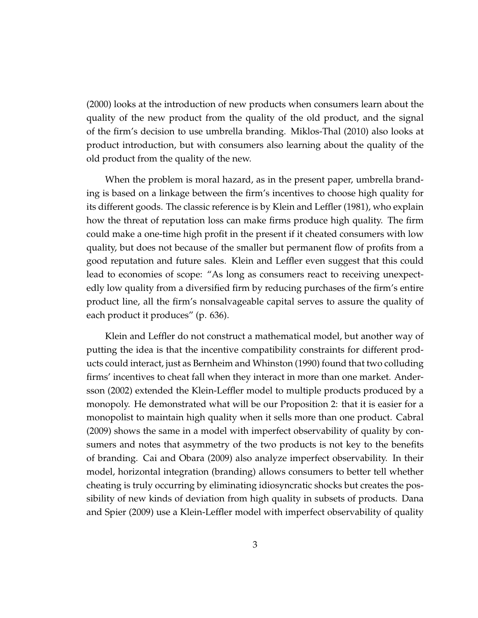(2000) looks at the introduction of new products when consumers learn about the quality of the new product from the quality of the old product, and the signal of the firm's decision to use umbrella branding. Miklos-Thal (2010) also looks at product introduction, but with consumers also learning about the quality of the old product from the quality of the new.

When the problem is moral hazard, as in the present paper, umbrella branding is based on a linkage between the firm's incentives to choose high quality for its different goods. The classic reference is by Klein and Leffler (1981), who explain how the threat of reputation loss can make firms produce high quality. The firm could make a one-time high profit in the present if it cheated consumers with low quality, but does not because of the smaller but permanent flow of profits from a good reputation and future sales. Klein and Leffler even suggest that this could lead to economies of scope: "As long as consumers react to receiving unexpectedly low quality from a diversified firm by reducing purchases of the firm's entire product line, all the firm's nonsalvageable capital serves to assure the quality of each product it produces" (p. 636).

Klein and Leffler do not construct a mathematical model, but another way of putting the idea is that the incentive compatibility constraints for different products could interact, just as Bernheim and Whinston (1990) found that two colluding firms' incentives to cheat fall when they interact in more than one market. Andersson (2002) extended the Klein-Leffler model to multiple products produced by a monopoly. He demonstrated what will be our Proposition 2: that it is easier for a monopolist to maintain high quality when it sells more than one product. Cabral (2009) shows the same in a model with imperfect observability of quality by consumers and notes that asymmetry of the two products is not key to the benefits of branding. Cai and Obara (2009) also analyze imperfect observability. In their model, horizontal integration (branding) allows consumers to better tell whether cheating is truly occurring by eliminating idiosyncratic shocks but creates the possibility of new kinds of deviation from high quality in subsets of products. Dana and Spier (2009) use a Klein-Leffler model with imperfect observability of quality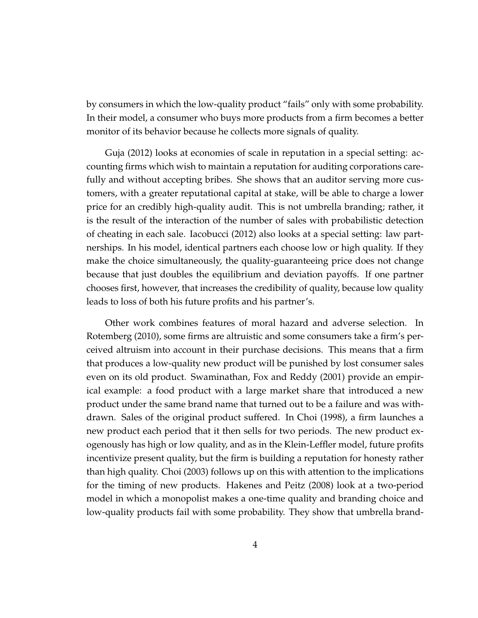by consumers in which the low-quality product "fails" only with some probability. In their model, a consumer who buys more products from a firm becomes a better monitor of its behavior because he collects more signals of quality.

Guja (2012) looks at economies of scale in reputation in a special setting: accounting firms which wish to maintain a reputation for auditing corporations carefully and without accepting bribes. She shows that an auditor serving more customers, with a greater reputational capital at stake, will be able to charge a lower price for an credibly high-quality audit. This is not umbrella branding; rather, it is the result of the interaction of the number of sales with probabilistic detection of cheating in each sale. Iacobucci (2012) also looks at a special setting: law partnerships. In his model, identical partners each choose low or high quality. If they make the choice simultaneously, the quality-guaranteeing price does not change because that just doubles the equilibrium and deviation payoffs. If one partner chooses first, however, that increases the credibility of quality, because low quality leads to loss of both his future profits and his partner's.

Other work combines features of moral hazard and adverse selection. In Rotemberg (2010), some firms are altruistic and some consumers take a firm's perceived altruism into account in their purchase decisions. This means that a firm that produces a low-quality new product will be punished by lost consumer sales even on its old product. Swaminathan, Fox and Reddy (2001) provide an empirical example: a food product with a large market share that introduced a new product under the same brand name that turned out to be a failure and was withdrawn. Sales of the original product suffered. In Choi (1998), a firm launches a new product each period that it then sells for two periods. The new product exogenously has high or low quality, and as in the Klein-Leffler model, future profits incentivize present quality, but the firm is building a reputation for honesty rather than high quality. Choi (2003) follows up on this with attention to the implications for the timing of new products. Hakenes and Peitz (2008) look at a two-period model in which a monopolist makes a one-time quality and branding choice and low-quality products fail with some probability. They show that umbrella brand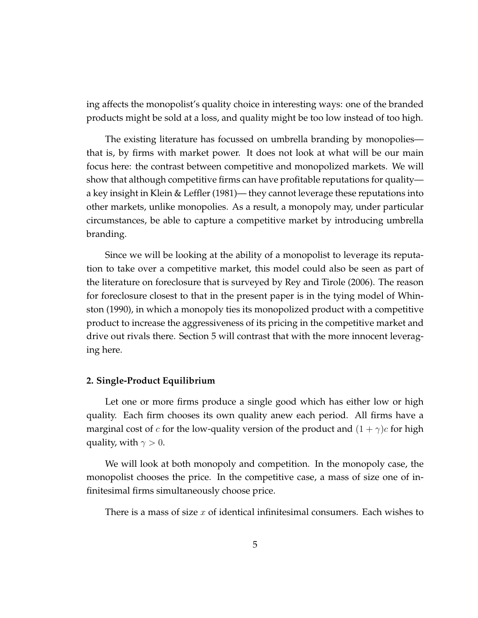ing affects the monopolist's quality choice in interesting ways: one of the branded products might be sold at a loss, and quality might be too low instead of too high.

The existing literature has focussed on umbrella branding by monopolies that is, by firms with market power. It does not look at what will be our main focus here: the contrast between competitive and monopolized markets. We will show that although competitive firms can have profitable reputations for quality a key insight in Klein & Leffler (1981)— they cannot leverage these reputations into other markets, unlike monopolies. As a result, a monopoly may, under particular circumstances, be able to capture a competitive market by introducing umbrella branding.

Since we will be looking at the ability of a monopolist to leverage its reputation to take over a competitive market, this model could also be seen as part of the literature on foreclosure that is surveyed by Rey and Tirole (2006). The reason for foreclosure closest to that in the present paper is in the tying model of Whinston (1990), in which a monopoly ties its monopolized product with a competitive product to increase the aggressiveness of its pricing in the competitive market and drive out rivals there. Section 5 will contrast that with the more innocent leveraging here.

## **2. Single-Product Equilibrium**

Let one or more firms produce a single good which has either low or high quality. Each firm chooses its own quality anew each period. All firms have a marginal cost of c for the low-quality version of the product and  $(1 + \gamma)c$  for high quality, with  $\gamma > 0$ .

We will look at both monopoly and competition. In the monopoly case, the monopolist chooses the price. In the competitive case, a mass of size one of infinitesimal firms simultaneously choose price.

There is a mass of size x of identical infinitesimal consumers. Each wishes to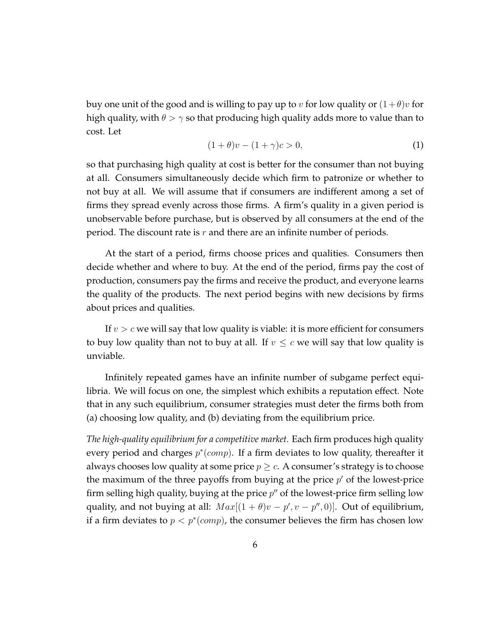buy one unit of the good and is willing to pay up to v for low quality or  $(1+\theta)v$  for high quality, with  $\theta > \gamma$  so that producing high quality adds more to value than to cost. Let

$$
(1+\theta)v - (1+\gamma)c > 0,\tag{1}
$$

so that purchasing high quality at cost is better for the consumer than not buying at all. Consumers simultaneously decide which firm to patronize or whether to not buy at all. We will assume that if consumers are indifferent among a set of firms they spread evenly across those firms. A firm's quality in a given period is unobservable before purchase, but is observed by all consumers at the end of the period. The discount rate is  $r$  and there are an infinite number of periods.

At the start of a period, firms choose prices and qualities. Consumers then decide whether and where to buy. At the end of the period, firms pay the cost of production, consumers pay the firms and receive the product, and everyone learns the quality of the products. The next period begins with new decisions by firms about prices and qualities.

If  $v > c$  we will say that low quality is viable: it is more efficient for consumers to buy low quality than not to buy at all. If  $v \leq c$  we will say that low quality is unviable.

Infinitely repeated games have an infinite number of subgame perfect equilibria. We will focus on one, the simplest which exhibits a reputation effect. Note that in any such equilibrium, consumer strategies must deter the firms both from (a) choosing low quality, and (b) deviating from the equilibrium price.

*The high-quality equilibrium for a competitive market.* Each firm produces high quality every period and charges  $p^*(comp)$ . If a firm deviates to low quality, thereafter it always chooses low quality at some price  $p \geq c$ . A consumer's strategy is to choose the maximum of the three payoffs from buying at the price  $p'$  of the lowest-price firm selling high quality, buying at the price  $p''$  of the lowest-price firm selling low quality, and not buying at all:  $Max[(1 + \theta)v - p', v - p'', 0)]$ . Out of equilibrium, if a firm deviates to  $p < p^*(comp)$ , the consumer believes the firm has chosen low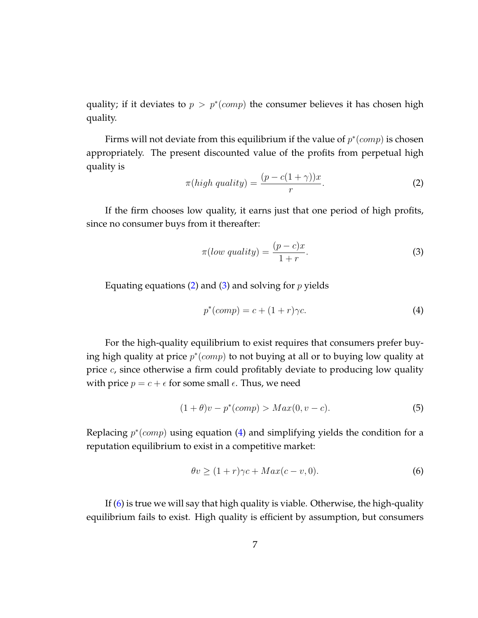quality; if it deviates to  $p > p^*(comp)$  the consumer believes it has chosen high quality.

Firms will not deviate from this equilibrium if the value of  $p^*(comp)$  is chosen appropriately. The present discounted value of the profits from perpetual high quality is

<span id="page-6-0"></span>
$$
\pi(high\,\,quality) = \frac{(p - c(1 + \gamma))x}{r}.\tag{2}
$$

If the firm chooses low quality, it earns just that one period of high profits, since no consumer buys from it thereafter:

<span id="page-6-1"></span>
$$
\pi(low\,\,quality) = \frac{(p-c)x}{1+r}.\tag{3}
$$

Equating equations [\(2\)](#page-6-0) and [\(3\)](#page-6-1) and solving for  $p$  yields

<span id="page-6-2"></span>
$$
p^*(comp) = c + (1+r)\gamma c.
$$
 (4)

For the high-quality equilibrium to exist requires that consumers prefer buying high quality at price  $p^*(comp)$  to not buying at all or to buying low quality at price c, since otherwise a firm could profitably deviate to producing low quality with price  $p = c + \epsilon$  for some small  $\epsilon$ . Thus, we need

<span id="page-6-4"></span>
$$
(1+\theta)v - p^*(comp) > Max(0, v - c).
$$
 (5)

Replacing  $p^*(comp)$  using equation [\(4\)](#page-6-2) and simplifying yields the condition for a reputation equilibrium to exist in a competitive market:

<span id="page-6-3"></span>
$$
\theta v \ge (1+r)\gamma c + Max(c-v,0). \tag{6}
$$

If [\(6\)](#page-6-3) is true we will say that high quality is viable. Otherwise, the high-quality equilibrium fails to exist. High quality is efficient by assumption, but consumers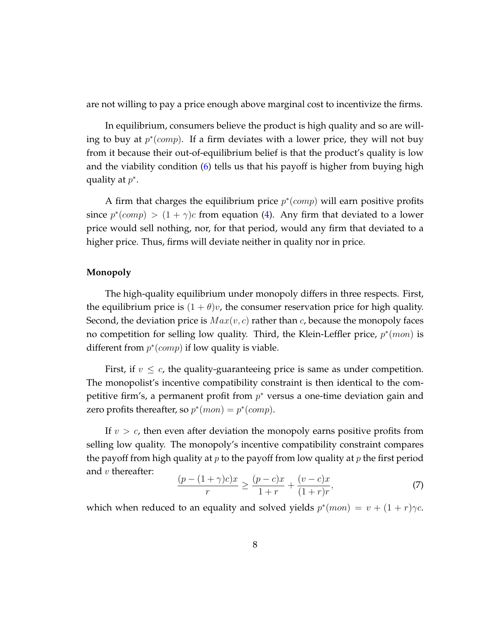are not willing to pay a price enough above marginal cost to incentivize the firms.

In equilibrium, consumers believe the product is high quality and so are willing to buy at  $p^*(comp)$ . If a firm deviates with a lower price, they will not buy from it because their out-of-equilibrium belief is that the product's quality is low and the viability condition [\(6\)](#page-6-3) tells us that his payoff is higher from buying high quality at  $p^*$ .

A firm that charges the equilibrium price  $p^*(comp)$  will earn positive profits since  $p^*(comp) > (1 + \gamma)c$  from equation [\(4\)](#page-6-2). Any firm that deviated to a lower price would sell nothing, nor, for that period, would any firm that deviated to a higher price. Thus, firms will deviate neither in quality nor in price.

# **Monopoly**

The high-quality equilibrium under monopoly differs in three respects. First, the equilibrium price is  $(1 + \theta)v$ , the consumer reservation price for high quality. Second, the deviation price is  $Max(v, c)$  rather than c, because the monopoly faces no competition for selling low quality. Third, the Klein-Leffler price,  $p^*(mon)$  is different from  $p^*(comp)$  if low quality is viable.

First, if  $v \leq c$ , the quality-guaranteeing price is same as under competition. The monopolist's incentive compatibility constraint is then identical to the competitive firm's, a permanent profit from  $p^*$  versus a one-time deviation gain and zero profits thereafter, so  $p^*(mon) = p^*(comp)$ .

If  $v > c$ , then even after deviation the monopoly earns positive profits from selling low quality. The monopoly's incentive compatibility constraint compares the payoff from high quality at p to the payoff from low quality at p the first period and  $v$  thereafter:

$$
\frac{(p - (1 + \gamma)c)x}{r} \ge \frac{(p - c)x}{1 + r} + \frac{(v - c)x}{(1 + r)r},\tag{7}
$$

which when reduced to an equality and solved yields  $p^*(mon) = v + (1 + r)\gamma c$ .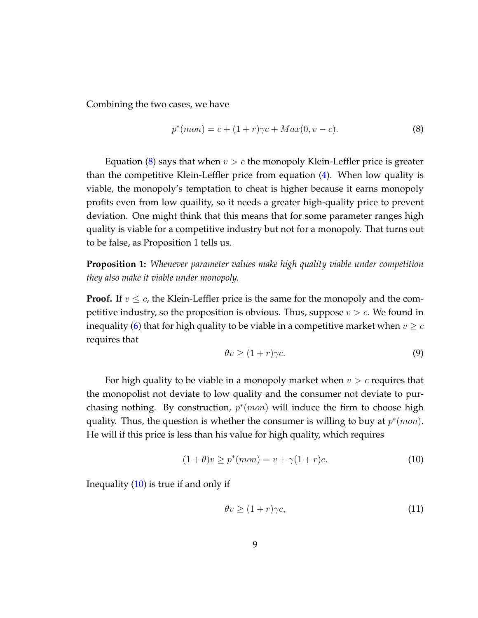Combining the two cases, we have

<span id="page-8-0"></span>
$$
p^*(mon) = c + (1+r)\gamma c + Max(0, v - c).
$$
 (8)

Equation [\(8\)](#page-8-0) says that when  $v > c$  the monopoly Klein-Leffler price is greater than the competitive Klein-Leffler price from equation [\(4\)](#page-6-2). When low quality is viable, the monopoly's temptation to cheat is higher because it earns monopoly profits even from low quaility, so it needs a greater high-quality price to prevent deviation. One might think that this means that for some parameter ranges high quality is viable for a competitive industry but not for a monopoly. That turns out to be false, as Proposition 1 tells us.

**Proposition 1:** *Whenever parameter values make high quality viable under competition they also make it viable under monopoly.*

**Proof.** If  $v \leq c$ , the Klein-Leffler price is the same for the monopoly and the competitive industry, so the proposition is obvious. Thus, suppose  $v > c$ . We found in inequality [\(6\)](#page-6-3) that for high quality to be viable in a competitive market when  $v \geq c$ requires that

<span id="page-8-2"></span>
$$
\theta v \ge (1+r)\gamma c. \tag{9}
$$

For high quality to be viable in a monopoly market when  $v > c$  requires that the monopolist not deviate to low quality and the consumer not deviate to purchasing nothing. By construction,  $p^*(mon)$  will induce the firm to choose high quality. Thus, the question is whether the consumer is willing to buy at  $p^*(mon)$ . He will if this price is less than his value for high quality, which requires

<span id="page-8-1"></span>
$$
(1+\theta)v \ge p^*(mon) = v + \gamma(1+r)c.
$$
\n(10)

Inequality  $(10)$  is true if and only if

$$
\theta v \ge (1+r)\gamma c,\tag{11}
$$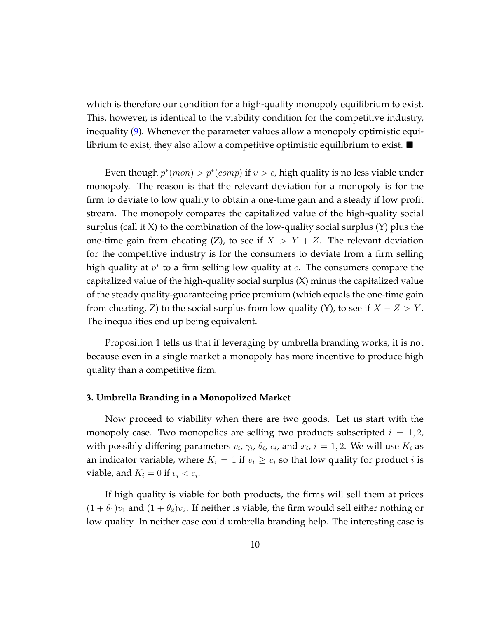which is therefore our condition for a high-quality monopoly equilibrium to exist. This, however, is identical to the viability condition for the competitive industry, inequality [\(9\)](#page-8-2). Whenever the parameter values allow a monopoly optimistic equilibrium to exist, they also allow a competitive optimistic equilibrium to exist.  $\blacksquare$ 

Even though  $p^*(mon) > p^*(comp)$  if  $v > c$ , high quality is no less viable under monopoly. The reason is that the relevant deviation for a monopoly is for the firm to deviate to low quality to obtain a one-time gain and a steady if low profit stream. The monopoly compares the capitalized value of the high-quality social surplus (call it  $X$ ) to the combination of the low-quality social surplus  $(Y)$  plus the one-time gain from cheating (Z), to see if  $X > Y + Z$ . The relevant deviation for the competitive industry is for the consumers to deviate from a firm selling high quality at  $p^*$  to a firm selling low quality at  $c$ . The consumers compare the capitalized value of the high-quality social surplus (X) minus the capitalized value of the steady quality-guaranteeing price premium (which equals the one-time gain from cheating, Z) to the social surplus from low quality (Y), to see if  $X - Z > Y$ . The inequalities end up being equivalent.

Proposition 1 tells us that if leveraging by umbrella branding works, it is not because even in a single market a monopoly has more incentive to produce high quality than a competitive firm.

## **3. Umbrella Branding in a Monopolized Market**

Now proceed to viability when there are two goods. Let us start with the monopoly case. Two monopolies are selling two products subscripted  $i = 1, 2$ , with possibly differing parameters  $v_i$ ,  $\gamma_i$ ,  $\theta_i$ ,  $c_i$ , and  $x_i$ ,  $i = 1, 2$ . We will use  $K_i$  as an indicator variable, where  $K_i = 1$  if  $v_i \geq c_i$  so that low quality for product *i* is viable, and  $K_i = 0$  if  $v_i < c_i$ .

If high quality is viable for both products, the firms will sell them at prices  $(1 + \theta_1)v_1$  and  $(1 + \theta_2)v_2$ . If neither is viable, the firm would sell either nothing or low quality. In neither case could umbrella branding help. The interesting case is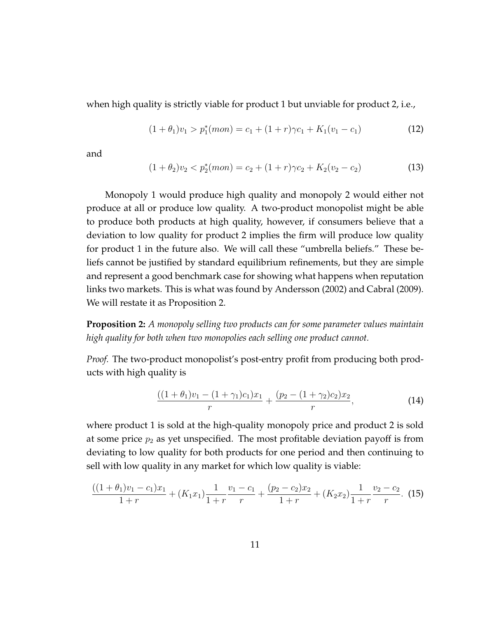when high quality is strictly viable for product 1 but unviable for product 2, i.e.,

<span id="page-10-3"></span>
$$
(1 + \theta_1)v_1 > p_1^*(mon) = c_1 + (1 + r)\gamma c_1 + K_1(v_1 - c_1)
$$
\n(12)

and

<span id="page-10-2"></span>
$$
(1+\theta_2)v_2 < p_2^*(mon) = c_2 + (1+r)\gamma c_2 + K_2(v_2 - c_2)
$$
\n(13)

Monopoly 1 would produce high quality and monopoly 2 would either not produce at all or produce low quality. A two-product monopolist might be able to produce both products at high quality, however, if consumers believe that a deviation to low quality for product 2 implies the firm will produce low quality for product 1 in the future also. We will call these "umbrella beliefs." These beliefs cannot be justified by standard equilibrium refinements, but they are simple and represent a good benchmark case for showing what happens when reputation links two markets. This is what was found by Andersson (2002) and Cabral (2009). We will restate it as Proposition 2.

**Proposition 2:** *A monopoly selling two products can for some parameter values maintain high quality for both when two monopolies each selling one product cannot.*

*Proof.* The two-product monopolist's post-entry profit from producing both products with high quality is

<span id="page-10-0"></span>
$$
\frac{((1+\theta_1)v_1 - (1+\gamma_1)c_1)x_1}{r} + \frac{(p_2 - (1+\gamma_2)c_2)x_2}{r},\tag{14}
$$

where product 1 is sold at the high-quality monopoly price and product 2 is sold at some price  $p_2$  as yet unspecified. The most profitable deviation payoff is from deviating to low quality for both products for one period and then continuing to sell with low quality in any market for which low quality is viable:

<span id="page-10-1"></span>
$$
\frac{((1+\theta_1)v_1-c_1)x_1}{1+r} + (K_1x_1)\frac{1}{1+r}\frac{v_1-c_1}{r} + \frac{(p_2-c_2)x_2}{1+r} + (K_2x_2)\frac{1}{1+r}\frac{v_2-c_2}{r}.
$$
 (15)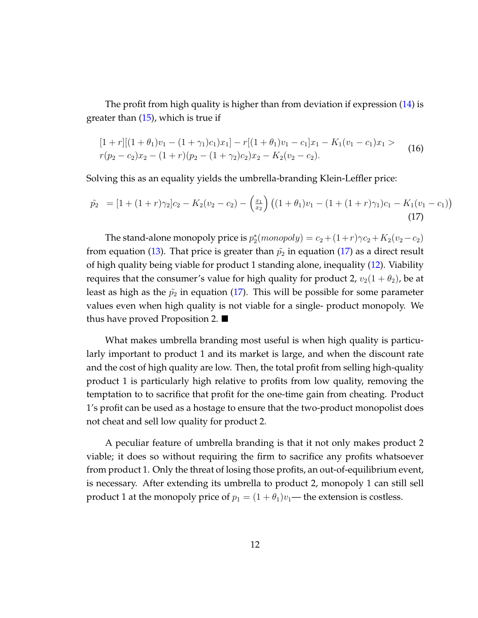The profit from high quality is higher than from deviation if expression [\(14\)](#page-10-0) is greater than  $(15)$ , which is true if

$$
\begin{aligned} [1+r] [(1+\theta_1)v_1 - (1+\gamma_1)c_1)x_1] - r [(1+\theta_1)v_1 - c_1]x_1 - K_1(v_1 - c_1)x_1 > \\ r(p_2 - c_2)x_2 - (1+r)(p_2 - (1+\gamma_2)c_2)x_2 - K_2(v_2 - c_2). \end{aligned} \tag{16}
$$

Solving this as an equality yields the umbrella-branding Klein-Leffler price:

<span id="page-11-0"></span>
$$
\tilde{p}_2 = [1 + (1+r)\gamma_2]c_2 - K_2(v_2 - c_2) - \left(\frac{x_1}{x_2}\right) \left((1+\theta_1)v_1 - (1+(1+r)\gamma_1)c_1 - K_1(v_1 - c_1)\right)
$$
\n(17)

The stand-alone monopoly price is  $p_2^*(monopoly) = c_2 + (1+r)\gamma c_2 + K_2(v_2 - c_2)$ from equation [\(13\)](#page-10-2). That price is greater than  $\tilde{p}_2$  in equation [\(17\)](#page-11-0) as a direct result of high quality being viable for product 1 standing alone, inequality [\(12\)](#page-10-3). Viability requires that the consumer's value for high quality for product 2,  $v_2(1 + \theta_2)$ , be at least as high as the  $\tilde{p}_2$  in equation [\(17\)](#page-11-0). This will be possible for some parameter values even when high quality is not viable for a single- product monopoly. We thus have proved Proposition 2.

What makes umbrella branding most useful is when high quality is particularly important to product 1 and its market is large, and when the discount rate and the cost of high quality are low. Then, the total profit from selling high-quality product 1 is particularly high relative to profits from low quality, removing the temptation to to sacrifice that profit for the one-time gain from cheating. Product 1's profit can be used as a hostage to ensure that the two-product monopolist does not cheat and sell low quality for product 2.

A peculiar feature of umbrella branding is that it not only makes product 2 viable; it does so without requiring the firm to sacrifice any profits whatsoever from product 1. Only the threat of losing those profits, an out-of-equilibrium event, is necessary. After extending its umbrella to product 2, monopoly 1 can still sell product 1 at the monopoly price of  $p_1 = (1 + \theta_1)v_1$ — the extension is costless.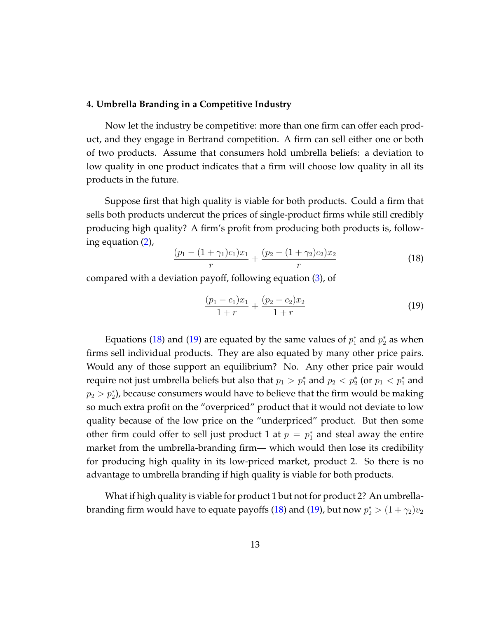#### **4. Umbrella Branding in a Competitive Industry**

Now let the industry be competitive: more than one firm can offer each product, and they engage in Bertrand competition. A firm can sell either one or both of two products. Assume that consumers hold umbrella beliefs: a deviation to low quality in one product indicates that a firm will choose low quality in all its products in the future.

Suppose first that high quality is viable for both products. Could a firm that sells both products undercut the prices of single-product firms while still credibly producing high quality? A firm's profit from producing both products is, following equation [\(2\)](#page-6-0),

<span id="page-12-0"></span>
$$
\frac{(p_1 - (1 + \gamma_1)c_1)x_1}{r} + \frac{(p_2 - (1 + \gamma_2)c_2)x_2}{r}
$$
\n(18)

compared with a deviation payoff, following equation [\(3\)](#page-6-1), of

<span id="page-12-1"></span>
$$
\frac{(p_1 - c_1)x_1}{1+r} + \frac{(p_2 - c_2)x_2}{1+r}
$$
\n(19)

Equations [\(18\)](#page-12-0) and [\(19\)](#page-12-1) are equated by the same values of  $p_1^*$  and  $p_2^*$  as when firms sell individual products. They are also equated by many other price pairs. Would any of those support an equilibrium? No. Any other price pair would require not just umbrella beliefs but also that  $p_1 > p_1^*$  and  $p_2 < p_2^*$  (or  $p_1 < p_1^*$  and  $p_2 > p_2^*$ ), because consumers would have to believe that the firm would be making so much extra profit on the "overpriced" product that it would not deviate to low quality because of the low price on the "underpriced" product. But then some other firm could offer to sell just product 1 at  $p = p_1^*$  and steal away the entire market from the umbrella-branding firm— which would then lose its credibility for producing high quality in its low-priced market, product 2. So there is no advantage to umbrella branding if high quality is viable for both products.

What if high quality is viable for product 1 but not for product 2? An umbrella-branding firm would have to equate payoffs [\(18\)](#page-12-0) and [\(19\)](#page-12-1), but now  $p_2^*>(1+\gamma_2)v_2$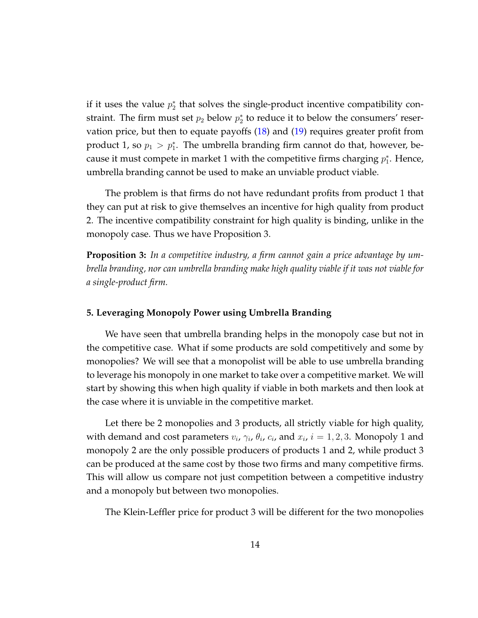if it uses the value  $p_2^*$  that solves the single-product incentive compatibility constraint. The firm must set  $p_2$  below  $p_2^*$  to reduce it to below the consumers' reservation price, but then to equate payoffs  $(18)$  and  $(19)$  requires greater profit from product 1, so  $p_1 > p_1^*$ . The umbrella branding firm cannot do that, however, because it must compete in market 1 with the competitive firms charging  $p_1^*$ . Hence, umbrella branding cannot be used to make an unviable product viable.

The problem is that firms do not have redundant profits from product 1 that they can put at risk to give themselves an incentive for high quality from product 2. The incentive compatibility constraint for high quality is binding, unlike in the monopoly case. Thus we have Proposition 3.

**Proposition 3:** *In a competitive industry, a firm cannot gain a price advantage by umbrella branding, nor can umbrella branding make high quality viable if it was not viable for a single-product firm.*

## **5. Leveraging Monopoly Power using Umbrella Branding**

We have seen that umbrella branding helps in the monopoly case but not in the competitive case. What if some products are sold competitively and some by monopolies? We will see that a monopolist will be able to use umbrella branding to leverage his monopoly in one market to take over a competitive market. We will start by showing this when high quality if viable in both markets and then look at the case where it is unviable in the competitive market.

Let there be 2 monopolies and 3 products, all strictly viable for high quality, with demand and cost parameters  $v_i$ ,  $\gamma_i$ ,  $\theta_i$ ,  $c_i$ , and  $x_i$ ,  $i = 1, 2, 3$ . Monopoly 1 and monopoly 2 are the only possible producers of products 1 and 2, while product 3 can be produced at the same cost by those two firms and many competitive firms. This will allow us compare not just competition between a competitive industry and a monopoly but between two monopolies.

The Klein-Leffler price for product 3 will be different for the two monopolies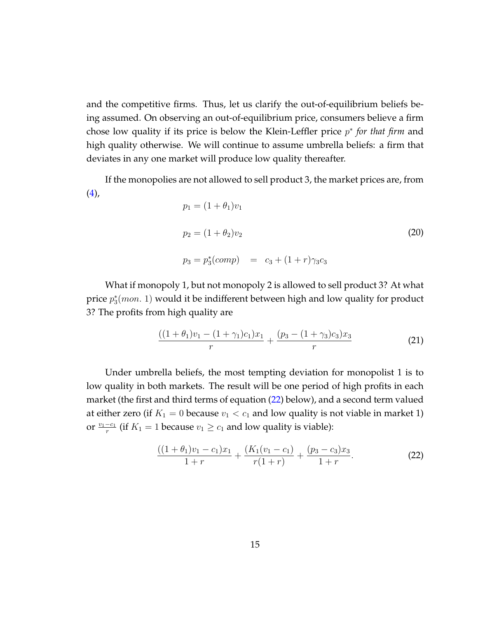and the competitive firms. Thus, let us clarify the out-of-equilibrium beliefs being assumed. On observing an out-of-equilibrium price, consumers believe a firm chose low quality if its price is below the Klein-Leffler price p ∗ *for that firm* and high quality otherwise. We will continue to assume umbrella beliefs: a firm that deviates in any one market will produce low quality thereafter.

If the monopolies are not allowed to sell product 3, the market prices are, from  $(4),$  $(4),$ 

<span id="page-14-1"></span>
$$
p_1 = (1 + \theta_1)v_1
$$
  
\n
$$
p_2 = (1 + \theta_2)v_2
$$
  
\n
$$
p_3 = p_3^*(comp) = c_3 + (1 + r)\gamma_3c_3
$$
\n(20)

What if monopoly 1, but not monopoly 2 is allowed to sell product 3? At what price  $p_3^*(mon. 1)$  would it be indifferent between high and low quality for product 3? The profits from high quality are

$$
\frac{((1+\theta_1)v_1 - (1+\gamma_1)c_1)x_1}{r} + \frac{(p_3 - (1+\gamma_3)c_3)x_3}{r}
$$
(21)

Under umbrella beliefs, the most tempting deviation for monopolist 1 is to low quality in both markets. The result will be one period of high profits in each market (the first and third terms of equation [\(22\)](#page-14-0) below), and a second term valued at either zero (if  $K_1 = 0$  because  $v_1 < c_1$  and low quality is not viable in market 1) or  $\frac{v_1-c_1}{r}$  (if  $K_1 = 1$  because  $v_1 \ge c_1$  and low quality is viable):

<span id="page-14-0"></span>
$$
\frac{((1+\theta_1)v_1-c_1)x_1}{1+r}+\frac{(K_1(v_1-c_1)}{r(1+r)}+\frac{(p_3-c_3)x_3}{1+r}.
$$
\n(22)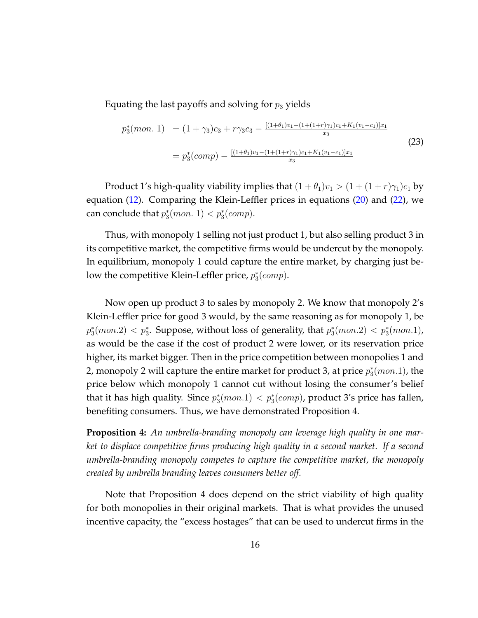Equating the last payoffs and solving for  $p_3$  yields

$$
p_3^*(mon. 1) = (1 + \gamma_3)c_3 + r\gamma_3c_3 - \frac{[(1 + \theta_1)v_1 - (1 + (1 + r)\gamma_1)c_1 + K_1(v_1 - c_1)]x_1}{x_3}
$$
  
= 
$$
p_3^*(comp) - \frac{[(1 + \theta_1)v_1 - (1 + (1 + r)\gamma_1)c_1 + K_1(v_1 - c_1)]x_1}{x_3}
$$
 (23)

Product 1's high-quality viability implies that  $(1 + \theta_1)v_1 > (1 + (1 + r)\gamma_1)c_1$  by equation [\(12\)](#page-10-3). Comparing the Klein-Leffler prices in equations [\(20\)](#page-14-1) and [\(22\)](#page-14-0), we can conclude that  $p_3^*(mon. 1) < p_3^*(comp)$ .

Thus, with monopoly 1 selling not just product 1, but also selling product 3 in its competitive market, the competitive firms would be undercut by the monopoly. In equilibrium, monopoly 1 could capture the entire market, by charging just below the competitive Klein-Leffler price,  $p_3^*(comp)$ .

Now open up product 3 to sales by monopoly 2. We know that monopoly 2's Klein-Leffler price for good 3 would, by the same reasoning as for monopoly 1, be  $p_3^*(mon.2) < p_3^*$ . Suppose, without loss of generality, that  $p_3^*(mon.2) < p_3^*(mon.1)$ , as would be the case if the cost of product 2 were lower, or its reservation price higher, its market bigger. Then in the price competition between monopolies 1 and 2, monopoly 2 will capture the entire market for product 3, at price  $p_3^*(mon.1)$ , the price below which monopoly 1 cannot cut without losing the consumer's belief that it has high quality. Since  $p_3^*(mon.1) < p_3^*(comp)$ , product 3's price has fallen, benefiting consumers. Thus, we have demonstrated Proposition 4.

**Proposition 4:** *An umbrella-branding monopoly can leverage high quality in one market to displace competitive firms producing high quality in a second market. If a second umbrella-branding monopoly competes to capture the competitive market, the monopoly created by umbrella branding leaves consumers better off.*

Note that Proposition 4 does depend on the strict viability of high quality for both monopolies in their original markets. That is what provides the unused incentive capacity, the "excess hostages" that can be used to undercut firms in the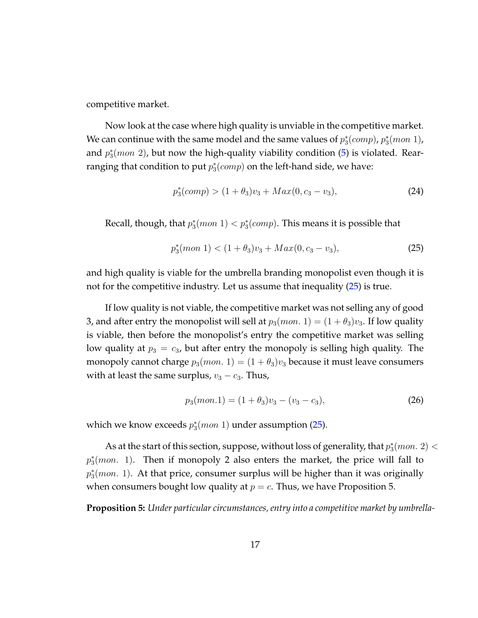competitive market.

Now look at the case where high quality is unviable in the competitive market. We can continue with the same model and the same values of  $p_3^*(comp)$ ,  $p_3^*(mon\ 1)$ , and  $p_3^*(mon\ 2)$ , but now the high-quality viability condition [\(5\)](#page-6-4) is violated. Rearranging that condition to put  $p_3^*(comp)$  on the left-hand side, we have:

$$
p_3^*(comp) > (1 + \theta_3)v_3 + Max(0, c_3 - v_3),
$$
\n(24)

Recall, though, that  $p_3^*(mon\ 1) < p_3^*(comp)$ . This means it is possible that

<span id="page-16-0"></span>
$$
p_3^*(mon\ 1) < (1 + \theta_3)v_3 + Max(0, c_3 - v_3),\tag{25}
$$

and high quality is viable for the umbrella branding monopolist even though it is not for the competitive industry. Let us assume that inequality [\(25\)](#page-16-0) is true.

If low quality is not viable, the competitive market was not selling any of good 3, and after entry the monopolist will sell at  $p_3(mon. 1) = (1 + \theta_3)v_3$ . If low quality is viable, then before the monopolist's entry the competitive market was selling low quality at  $p_3 = c_3$ , but after entry the monopoly is selling high quality. The monopoly cannot charge  $p_3(mon. 1) = (1 + \theta_3)v_3$  because it must leave consumers with at least the same surplus,  $v_3 - c_3$ . Thus,

$$
p_3(mon.1) = (1 + \theta_3)v_3 - (v_3 - c_3),\tag{26}
$$

which we know exceeds  $p_3^*(mon\ 1)$  under assumption [\(25\)](#page-16-0).

As at the start of this section, suppose, without loss of generality, that  $p_3^*(mon. 2)$  $p_3^*(mon. 1)$ . Then if monopoly 2 also enters the market, the price will fall to  $p_3^*(mon. 1)$ . At that price, consumer surplus will be higher than it was originally when consumers bought low quality at  $p = c$ . Thus, we have Proposition 5.

**Proposition 5:** *Under particular circumstances, entry into a competitive market by umbrella-*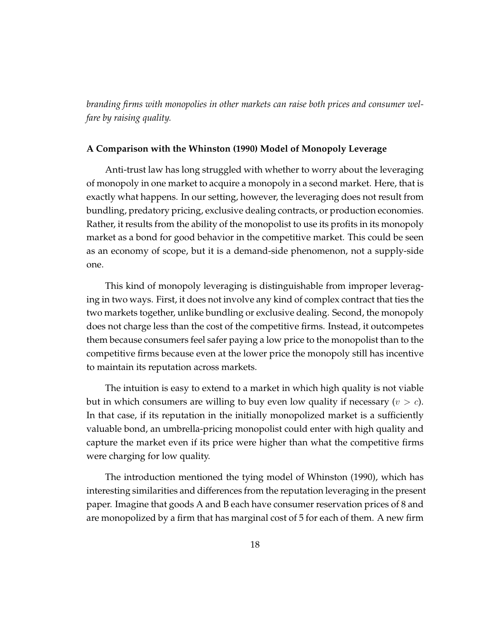*branding firms with monopolies in other markets can raise both prices and consumer welfare by raising quality.*

# **A Comparison with the Whinston (1990) Model of Monopoly Leverage**

Anti-trust law has long struggled with whether to worry about the leveraging of monopoly in one market to acquire a monopoly in a second market. Here, that is exactly what happens. In our setting, however, the leveraging does not result from bundling, predatory pricing, exclusive dealing contracts, or production economies. Rather, it results from the ability of the monopolist to use its profits in its monopoly market as a bond for good behavior in the competitive market. This could be seen as an economy of scope, but it is a demand-side phenomenon, not a supply-side one.

This kind of monopoly leveraging is distinguishable from improper leveraging in two ways. First, it does not involve any kind of complex contract that ties the two markets together, unlike bundling or exclusive dealing. Second, the monopoly does not charge less than the cost of the competitive firms. Instead, it outcompetes them because consumers feel safer paying a low price to the monopolist than to the competitive firms because even at the lower price the monopoly still has incentive to maintain its reputation across markets.

The intuition is easy to extend to a market in which high quality is not viable but in which consumers are willing to buy even low quality if necessary  $(v > c)$ . In that case, if its reputation in the initially monopolized market is a sufficiently valuable bond, an umbrella-pricing monopolist could enter with high quality and capture the market even if its price were higher than what the competitive firms were charging for low quality.

The introduction mentioned the tying model of Whinston (1990), which has interesting similarities and differences from the reputation leveraging in the present paper. Imagine that goods A and B each have consumer reservation prices of 8 and are monopolized by a firm that has marginal cost of 5 for each of them. A new firm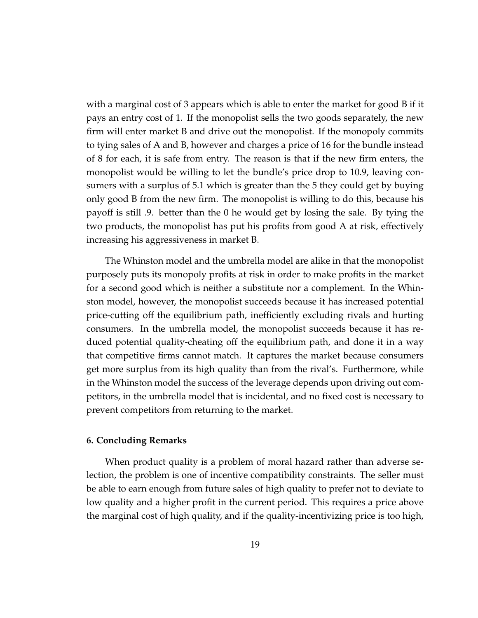with a marginal cost of 3 appears which is able to enter the market for good B if it pays an entry cost of 1. If the monopolist sells the two goods separately, the new firm will enter market B and drive out the monopolist. If the monopoly commits to tying sales of A and B, however and charges a price of 16 for the bundle instead of 8 for each, it is safe from entry. The reason is that if the new firm enters, the monopolist would be willing to let the bundle's price drop to 10.9, leaving consumers with a surplus of 5.1 which is greater than the 5 they could get by buying only good B from the new firm. The monopolist is willing to do this, because his payoff is still .9. better than the 0 he would get by losing the sale. By tying the two products, the monopolist has put his profits from good A at risk, effectively increasing his aggressiveness in market B.

The Whinston model and the umbrella model are alike in that the monopolist purposely puts its monopoly profits at risk in order to make profits in the market for a second good which is neither a substitute nor a complement. In the Whinston model, however, the monopolist succeeds because it has increased potential price-cutting off the equilibrium path, inefficiently excluding rivals and hurting consumers. In the umbrella model, the monopolist succeeds because it has reduced potential quality-cheating off the equilibrium path, and done it in a way that competitive firms cannot match. It captures the market because consumers get more surplus from its high quality than from the rival's. Furthermore, while in the Whinston model the success of the leverage depends upon driving out competitors, in the umbrella model that is incidental, and no fixed cost is necessary to prevent competitors from returning to the market.

## **6. Concluding Remarks**

When product quality is a problem of moral hazard rather than adverse selection, the problem is one of incentive compatibility constraints. The seller must be able to earn enough from future sales of high quality to prefer not to deviate to low quality and a higher profit in the current period. This requires a price above the marginal cost of high quality, and if the quality-incentivizing price is too high,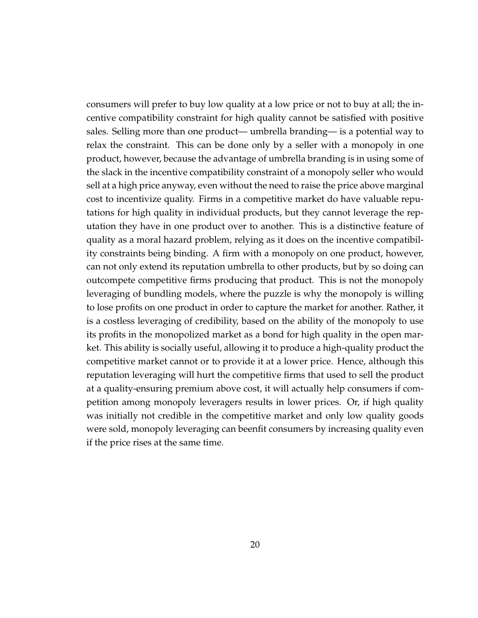consumers will prefer to buy low quality at a low price or not to buy at all; the incentive compatibility constraint for high quality cannot be satisfied with positive sales. Selling more than one product— umbrella branding— is a potential way to relax the constraint. This can be done only by a seller with a monopoly in one product, however, because the advantage of umbrella branding is in using some of the slack in the incentive compatibility constraint of a monopoly seller who would sell at a high price anyway, even without the need to raise the price above marginal cost to incentivize quality. Firms in a competitive market do have valuable reputations for high quality in individual products, but they cannot leverage the reputation they have in one product over to another. This is a distinctive feature of quality as a moral hazard problem, relying as it does on the incentive compatibility constraints being binding. A firm with a monopoly on one product, however, can not only extend its reputation umbrella to other products, but by so doing can outcompete competitive firms producing that product. This is not the monopoly leveraging of bundling models, where the puzzle is why the monopoly is willing to lose profits on one product in order to capture the market for another. Rather, it is a costless leveraging of credibility, based on the ability of the monopoly to use its profits in the monopolized market as a bond for high quality in the open market. This ability is socially useful, allowing it to produce a high-quality product the competitive market cannot or to provide it at a lower price. Hence, although this reputation leveraging will hurt the competitive firms that used to sell the product at a quality-ensuring premium above cost, it will actually help consumers if competition among monopoly leveragers results in lower prices. Or, if high quality was initially not credible in the competitive market and only low quality goods were sold, monopoly leveraging can beenfit consumers by increasing quality even if the price rises at the same time.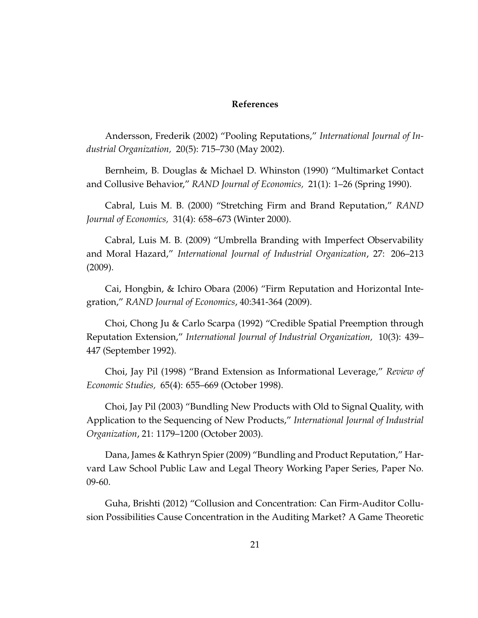# **References**

Andersson, Frederik (2002) "Pooling Reputations," *International Journal of Industrial Organization,* 20(5): 715–730 (May 2002).

Bernheim, B. Douglas & Michael D. Whinston (1990) "Multimarket Contact and Collusive Behavior," *RAND Journal of Economics,* 21(1): 1–26 (Spring 1990).

Cabral, Luis M. B. (2000) "Stretching Firm and Brand Reputation," *RAND Journal of Economics,* 31(4): 658–673 (Winter 2000).

Cabral, Luis M. B. (2009) "Umbrella Branding with Imperfect Observability and Moral Hazard," *International Journal of Industrial Organization*, 27: 206–213 (2009).

Cai, Hongbin, & Ichiro Obara (2006) "Firm Reputation and Horizontal Integration," *RAND Journal of Economics*, 40:341-364 (2009).

Choi, Chong Ju & Carlo Scarpa (1992) "Credible Spatial Preemption through Reputation Extension," *International Journal of Industrial Organization,* 10(3): 439– 447 (September 1992).

Choi, Jay Pil (1998) "Brand Extension as Informational Leverage," *Review of Economic Studies,* 65(4): 655–669 (October 1998).

Choi, Jay Pil (2003) "Bundling New Products with Old to Signal Quality, with Application to the Sequencing of New Products," *International Journal of Industrial Organization*, 21: 1179–1200 (October 2003).

Dana, James & Kathryn Spier (2009) "Bundling and Product Reputation," Harvard Law School Public Law and Legal Theory Working Paper Series, Paper No. 09-60.

Guha, Brishti (2012) "Collusion and Concentration: Can Firm-Auditor Collusion Possibilities Cause Concentration in the Auditing Market? A Game Theoretic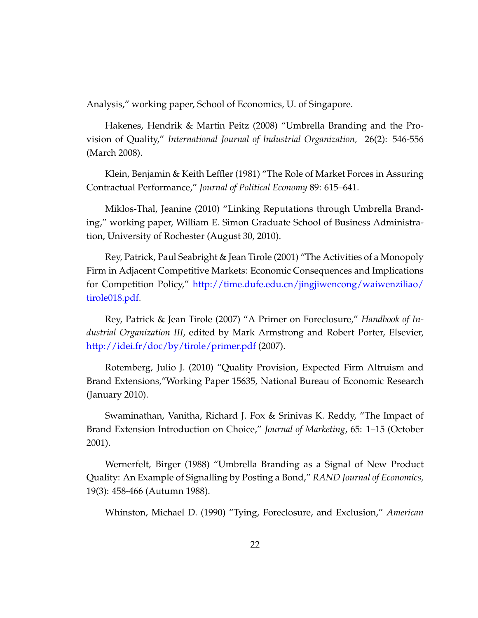Analysis," working paper, School of Economics, U. of Singapore.

Hakenes, Hendrik & Martin Peitz (2008) "Umbrella Branding and the Provision of Quality," *International Journal of Industrial Organization,* 26(2): 546-556 (March 2008).

Klein, Benjamin & Keith Leffler (1981) "The Role of Market Forces in Assuring Contractual Performance," *Journal of Political Economy* 89: 615–641.

Miklos-Thal, Jeanine (2010) "Linking Reputations through Umbrella Branding," working paper, William E. Simon Graduate School of Business Administration, University of Rochester (August 30, 2010).

Rey, Patrick, Paul Seabright & Jean Tirole (2001) "The Activities of a Monopoly Firm in Adjacent Competitive Markets: Economic Consequences and Implications for Competition Policy," [http://time.dufe.edu.cn/jingjiwencong/waiwenziliao/](http://time.dufe.edu.cn/jingjiwencong/waiwenziliao/tirole018.pdf) [tirole018.pdf.](http://time.dufe.edu.cn/jingjiwencong/waiwenziliao/tirole018.pdf)

Rey, Patrick & Jean Tirole (2007) "A Primer on Foreclosure," *Handbook of Industrial Organization III*, edited by Mark Armstrong and Robert Porter, Elsevier, <http://idei.fr/doc/by/tirole/primer.pdf> (2007).

Rotemberg, Julio J. (2010) "Quality Provision, Expected Firm Altruism and Brand Extensions,"Working Paper 15635, National Bureau of Economic Research (January 2010).

Swaminathan, Vanitha, Richard J. Fox & Srinivas K. Reddy, "The Impact of Brand Extension Introduction on Choice," *Journal of Marketing*, 65: 1–15 (October 2001).

Wernerfelt, Birger (1988) "Umbrella Branding as a Signal of New Product Quality: An Example of Signalling by Posting a Bond," *RAND Journal of Economics,* 19(3): 458-466 (Autumn 1988).

Whinston, Michael D. (1990) "Tying, Foreclosure, and Exclusion," *American*